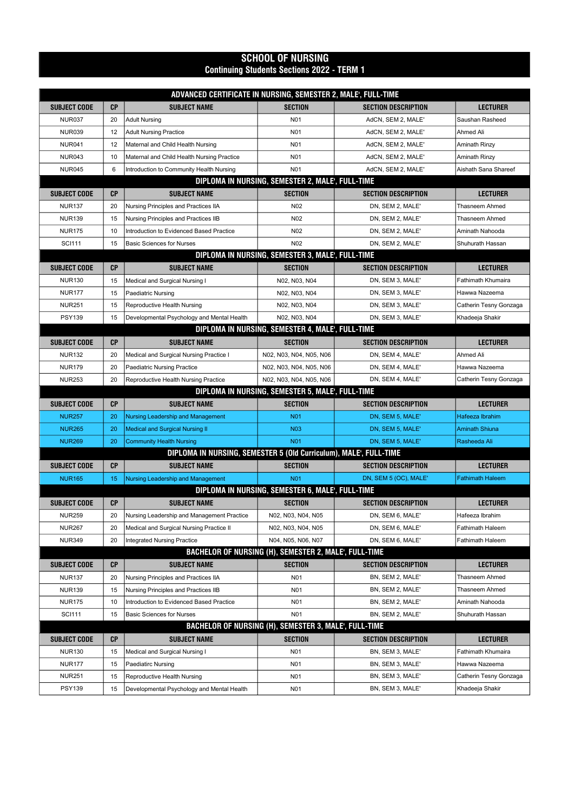## SCHOOL OF NURSING Continuing Students Sections 2022 - TERM 1

| ADVANCED CERTIFICATE IN NURSING, SEMESTER 2, MALE', FULL-TIME |           |                                                                  |                                                       |                            |                         |  |
|---------------------------------------------------------------|-----------|------------------------------------------------------------------|-------------------------------------------------------|----------------------------|-------------------------|--|
| <b>SUBJECT CODE</b>                                           | <b>CP</b> | <b>SUBJECT NAME</b>                                              | <b>SECTION</b>                                        | <b>SECTION DESCRIPTION</b> | LECTURER                |  |
| <b>NUR037</b>                                                 | 20        | <b>Adult Nursing</b>                                             | N <sub>0</sub> 1                                      | AdCN, SEM 2, MALE'         | Saushan Rasheed         |  |
| <b>NUR039</b>                                                 | 12        | <b>Adult Nursing Practice</b>                                    | N <sub>0</sub> 1                                      | AdCN, SEM 2, MALE'         | Ahmed Ali               |  |
| <b>NUR041</b>                                                 | 12        | Maternal and Child Health Nursing                                | N <sub>0</sub> 1                                      | AdCN, SEM 2, MALE'         | Aminath Rinzy           |  |
| <b>NUR043</b>                                                 | 10        | Maternal and Child Health Nursing Practice                       | N <sub>0</sub> 1                                      | AdCN, SEM 2, MALE'         | Aminath Rinzy           |  |
| <b>NUR045</b>                                                 | 6         | Introduction to Community Health Nursing                         | N <sub>0</sub> 1                                      | AdCN, SEM 2, MALE'         | Aishath Sana Shareef    |  |
|                                                               |           |                                                                  | DIPLOMA IN NURSING, SEMESTER 2, MALE', FULL-TIME      |                            |                         |  |
| <b>SUBJECT CODE</b>                                           | <b>CP</b> | <b>SUBJECT NAME</b>                                              | <b>SECTION</b>                                        | <b>SECTION DESCRIPTION</b> | <b>LECTURER</b>         |  |
| <b>NUR137</b>                                                 | 20        | Nursing Principles and Practices IIA                             | N02                                                   | DN, SEM 2, MALE'           | Thasneem Ahmed          |  |
| <b>NUR139</b>                                                 | 15        | Nursing Principles and Practices IIB                             | N <sub>02</sub>                                       | DN, SEM 2, MALE'           | Thasneem Ahmed          |  |
| <b>NUR175</b>                                                 | 10        | Introduction to Evidenced Based Practice                         | N <sub>02</sub>                                       | DN, SEM 2, MALE'           | Aminath Nahooda         |  |
| <b>SCI111</b>                                                 | 15        | <b>Basic Sciences for Nurses</b>                                 | N <sub>02</sub>                                       | DN, SEM 2, MALE'           | Shuhurath Hassan        |  |
|                                                               |           |                                                                  | DIPLOMA IN NURSING, SEMESTER 3, MALE', FULL-TIME      |                            |                         |  |
| SUBJECT CODE                                                  | <b>CP</b> | <b>SUBJECT NAME</b>                                              | <b>SECTION</b>                                        | <b>SECTION DESCRIPTION</b> | LECTURER                |  |
| <b>NUR130</b>                                                 | 15        | Medical and Surgical Nursing I                                   | N02, N03, N04                                         | DN, SEM 3, MALE'           | Fathimath Khumaira      |  |
| <b>NUR177</b>                                                 | 15        | <b>Paediatric Nursing</b>                                        | N02, N03, N04                                         | DN, SEM 3, MALE'           | Hawwa Nazeema           |  |
| <b>NUR251</b>                                                 | 15        | Reproductive Health Nursing                                      | N02, N03, N04                                         | DN, SEM 3, MALE'           | Catherin Tesny Gonzaga  |  |
| <b>PSY139</b>                                                 | 15        | Developmental Psychology and Mental Health                       | N02, N03, N04                                         | DN, SEM 3, MALE'           | Khadeeja Shakir         |  |
|                                                               |           |                                                                  | DIPLOMA IN NURSING, SEMESTER 4, MALE', FULL-TIME      |                            |                         |  |
| <b>SUBJECT CODE</b>                                           | <b>CP</b> | <b>SUBJECT NAME</b>                                              | <b>SECTION</b>                                        | <b>SECTION DESCRIPTION</b> | <b>LECTURER</b>         |  |
| <b>NUR132</b>                                                 | 20        | Medical and Surgical Nursing Practice I                          | N02, N03, N04, N05, N06                               | DN, SEM 4, MALE'           | Ahmed Ali               |  |
| <b>NUR179</b>                                                 | 20        | <b>Paediatric Nursing Practice</b>                               | N02, N03, N04, N05, N06                               | DN, SEM 4, MALE'           | Hawwa Nazeema           |  |
| <b>NUR253</b>                                                 | 20        | Reproductive Health Nursing Practice                             | N02, N03, N04, N05, N06                               | DN, SEM 4, MALE'           | Catherin Tesny Gonzaga  |  |
| DIPLOMA IN NURSING, SEMESTER 5, MALE', FULL-TIME              |           |                                                                  |                                                       |                            |                         |  |
|                                                               |           |                                                                  |                                                       |                            |                         |  |
| <b>SUBJECT CODE</b>                                           | <b>CP</b> | <b>SUBJECT NAME</b>                                              | <b>SECTION</b>                                        | <b>SECTION DESCRIPTION</b> | <b>LECTURER</b>         |  |
| <b>NUR257</b>                                                 | 20        | Nursing Leadership and Management                                | <b>N01</b>                                            | DN, SEM 5, MALE'           | Hafeeza Ibrahim         |  |
| <b>NUR265</b>                                                 | 20        | <b>Medical and Surgical Nursing II</b>                           | <b>N03</b>                                            | DN, SEM 5, MALE'           | Aminath Shiuna          |  |
| <b>NUR269</b>                                                 | 20        | <b>Community Health Nursing</b>                                  | <b>N01</b>                                            | DN, SEM 5, MALE'           | Rasheeda Ali            |  |
|                                                               |           | DIPLOMA IN NURSING, SEMESTER 5 (Old Curriculum), MALE, FULL-TIME |                                                       |                            |                         |  |
| <b>SUBJECT CODE</b>                                           | <b>CP</b> | <b>SUBJECT NAME</b>                                              | <b>SECTION</b>                                        | <b>SECTION DESCRIPTION</b> | <b>LECTURER</b>         |  |
| <b>NUR165</b>                                                 | 15        | Nursing Leadership and Management                                | <b>N01</b>                                            | DN, SEM 5 (OC), MALE'      | <b>Fathimath Haleem</b> |  |
|                                                               |           |                                                                  | DIPLOMA IN NURSING, SEMESTER 6, MALE', FULL-TIME      |                            |                         |  |
| SUBJECT CODE                                                  | <b>CP</b> | <b>SUBJECT NAME</b>                                              | <b>SECTION</b>                                        | <b>SECTION DESCRIPTION</b> | <b>LECTURER</b>         |  |
| <b>NUR259</b>                                                 | 20        | Nursing Leadership and Management Practice                       | N02, N03, N04, N05                                    | DN, SEM 6, MALE'           | Hafeeza Ibrahim         |  |
| <b>NUR267</b>                                                 | 20        | Medical and Surgical Nursing Practice II                         | N02, N03, N04, N05                                    | DN, SEM 6, MALE'           | Fathimath Haleem        |  |
| <b>NUR349</b>                                                 | 20        | <b>Integrated Nursing Practice</b>                               | N04, N05, N06, N07                                    | DN, SEM 6, MALE'           | Fathimath Haleem        |  |
|                                                               |           |                                                                  | BACHELOR OF NURSING (H), SEMESTER 2, MALE', FULL-TIME |                            |                         |  |
| <b>SUBJECT CODE</b>                                           | <b>CP</b> | <b>SUBJECT NAME</b>                                              | <b>SECTION</b>                                        | <b>SECTION DESCRIPTION</b> | <b>LECTURER</b>         |  |
| <b>NUR137</b>                                                 | 20        | Nursing Principles and Practices IIA                             | N <sub>0</sub> 1                                      | BN, SEM 2, MALE'           | Thasneem Ahmed          |  |
| <b>NUR139</b>                                                 | 15        | Nursing Principles and Practices IIB                             | N <sub>0</sub> 1                                      | BN, SEM 2, MALE'           | Thasneem Ahmed          |  |
| <b>NUR175</b>                                                 | 10        | Introduction to Evidenced Based Practice                         | N <sub>0</sub> 1                                      | BN, SEM 2, MALE'           | Aminath Nahooda         |  |
| <b>SCI111</b>                                                 | 15        | <b>Basic Sciences for Nurses</b>                                 | N <sub>0</sub> 1                                      | BN, SEM 2, MALE'           | Shuhurath Hassan        |  |
|                                                               |           |                                                                  | BACHELOR OF NURSING (H), SEMESTER 3, MALE', FULL-TIME |                            |                         |  |
| <b>SUBJECT CODE</b>                                           | <b>CP</b> | <b>SUBJECT NAME</b>                                              | <b>SECTION</b>                                        | <b>SECTION DESCRIPTION</b> | <b>LECTURER</b>         |  |
| <b>NUR130</b>                                                 | 15        | Medical and Surgical Nursing I                                   | N <sub>0</sub> 1                                      | BN, SEM 3, MALE'           | Fathimath Khumaira      |  |
| <b>NUR177</b>                                                 | 15        | <b>Paediatirc Nursing</b>                                        | N01                                                   | BN, SEM 3, MALE'           | Hawwa Nazeema           |  |
| <b>NUR251</b>                                                 | 15        | Reproductive Health Nursing                                      | N01                                                   | BN, SEM 3, MALE'           | Catherin Tesny Gonzaga  |  |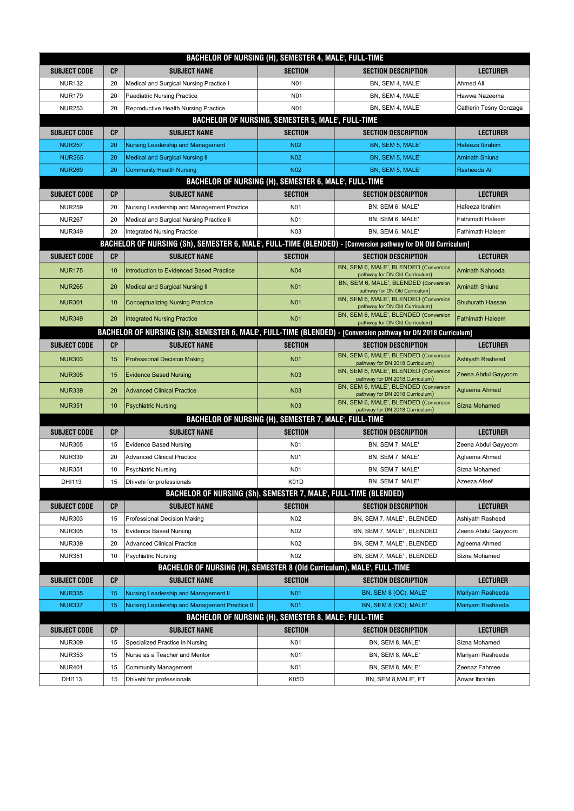| BACHELOR OF NURSING (H), SEMESTER 4, MALE', FULL-TIME    |                                                                        |                                                                                                                |                                                       |                                                                          |                         |  |  |  |
|----------------------------------------------------------|------------------------------------------------------------------------|----------------------------------------------------------------------------------------------------------------|-------------------------------------------------------|--------------------------------------------------------------------------|-------------------------|--|--|--|
| <b>SUBJECT CODE</b>                                      | <b>CP</b>                                                              | <b>SUBJECT NAME</b>                                                                                            | <b>SECTION</b>                                        | <b>SECTION DESCRIPTION</b>                                               | <b>LECTURER</b>         |  |  |  |
| <b>NUR132</b>                                            | 20                                                                     | Medical and Surgical Nursing Practice I                                                                        | N <sub>0</sub> 1                                      | BN, SEM 4, MALE'                                                         | Ahmed Ali               |  |  |  |
| <b>NUR179</b>                                            | 20                                                                     | <b>Paediatric Nursing Practice</b>                                                                             | N <sub>0</sub> 1                                      | BN, SEM 4, MALE'                                                         | Hawwa Nazeema           |  |  |  |
| <b>NUR253</b>                                            | 20                                                                     | Reproductive Health Nursing Practice                                                                           | N01                                                   | BN, SEM 4, MALE'                                                         | Catherin Tesny Gonzaga  |  |  |  |
| <b>BACHELOR OF NURSING, SEMESTER 5, MALE', FULL-TIME</b> |                                                                        |                                                                                                                |                                                       |                                                                          |                         |  |  |  |
| <b>SUBJECT CODE</b>                                      | СP                                                                     | <b>SUBJECT NAME</b>                                                                                            | <b>SECTION</b>                                        | <b>SECTION DESCRIPTION</b>                                               | <b>LECTURER</b>         |  |  |  |
| <b>NUR257</b>                                            | 20                                                                     | Nursing Leadership and Management                                                                              | <b>N02</b>                                            | BN, SEM 5, MALE'                                                         | Hafeeza Ibrahim         |  |  |  |
| <b>NUR265</b>                                            | 20                                                                     | <b>Medical and Surgical Nursing II</b>                                                                         | <b>N02</b>                                            | BN, SEM 5, MALE'                                                         | <b>Aminath Shiuna</b>   |  |  |  |
| <b>NUR269</b>                                            | 20                                                                     | <b>Community Health Nursing</b>                                                                                | <b>N02</b>                                            | BN, SEM 5, MALE'                                                         | Rasheeda Ali            |  |  |  |
|                                                          | <b>BACHELOR OF NURSING (H), SEMESTER 6, MALE, FULL-TIME</b>            |                                                                                                                |                                                       |                                                                          |                         |  |  |  |
| <b>SUBJECT CODE</b>                                      | <b>CP</b>                                                              | <b>SUBJECT NAME</b>                                                                                            | <b>SECTION</b>                                        | <b>SECTION DESCRIPTION</b>                                               | <b>LECTURER</b>         |  |  |  |
| <b>NUR259</b>                                            | 20                                                                     | Nursing Leadership and Management Practice                                                                     | N <sub>0</sub> 1                                      | BN, SEM 6, MALE'                                                         | Hafeeza Ibrahim         |  |  |  |
| <b>NUR267</b>                                            | 20                                                                     | Medical and Surgical Nursing Practice II                                                                       | N <sub>01</sub>                                       | BN, SEM 6, MALE'                                                         | <b>Fathimath Haleem</b> |  |  |  |
| <b>NUR349</b>                                            | 20                                                                     | <b>Integrated Nursing Practice</b>                                                                             | N <sub>03</sub>                                       | BN, SEM 6, MALE'                                                         | Fathimath Haleem        |  |  |  |
|                                                          |                                                                        | BACHELOR OF NURSING (Sh), SEMESTER 6, MALE', FULL-TIME (BLENDED) - [Conversion pathway for DN Old Curriculum]  |                                                       |                                                                          |                         |  |  |  |
| <b>SUBJECT CODE</b>                                      | СP                                                                     | <b>SUBJECT NAME</b>                                                                                            | <b>SECTION</b>                                        | <b>SECTION DESCRIPTION</b>                                               | <b>LECTURER</b>         |  |  |  |
|                                                          |                                                                        |                                                                                                                | <b>N04</b>                                            | BN, SEM 6, MALE', BLENDED (Conversion                                    |                         |  |  |  |
| <b>NUR175</b>                                            | 10                                                                     | <b>Introduction to Evidenced Based Practice</b>                                                                |                                                       | pathway for DN Old Curriculum)                                           | <b>Aminath Nahooda</b>  |  |  |  |
| <b>NUR265</b>                                            | 20                                                                     | <b>Medical and Surgical Nursing II</b>                                                                         | <b>N01</b>                                            | BN, SEM 6, MALE', BLENDED (Conversion<br>pathway for DN Old Curriculum)  | <b>Aminath Shiuna</b>   |  |  |  |
| <b>NUR301</b>                                            | 10                                                                     | <b>Conceptualizing Nursing Practice</b>                                                                        | <b>N01</b>                                            | BN, SEM 6, MALE', BLENDED (Conversion<br>pathway for DN Old Curriculum)  | <b>Shuhurath Hassan</b> |  |  |  |
| <b>NUR349</b>                                            | 20                                                                     |                                                                                                                | <b>N01</b>                                            | BN, SEM 6, MALE', BLENDED (Conversion                                    | <b>Fathimath Haleem</b> |  |  |  |
|                                                          |                                                                        | <b>Integrated Nursing Practice</b>                                                                             |                                                       | pathway for DN Old Curriculum)                                           |                         |  |  |  |
|                                                          |                                                                        | BACHELOR OF NURSING (Sh), SEMESTER 6, MALE', FULL-TIME (BLENDED) - [Conversion pathway for DN 2018 Curriculum] |                                                       |                                                                          |                         |  |  |  |
| <b>SUBJECT CODE</b>                                      | <b>CP</b>                                                              | <b>SUBJECT NAME</b>                                                                                            | <b>SECTION</b>                                        | <b>SECTION DESCRIPTION</b><br>BN, SEM 6, MALE', BLENDED (Conversion      | <b>LECTURER</b>         |  |  |  |
| <b>NUR303</b>                                            | 15                                                                     | <b>Professional Decision Making</b>                                                                            | <b>N01</b>                                            | pathway for DN 2018 Curriculum)                                          | <b>Ashiyath Rasheed</b> |  |  |  |
| <b>NUR305</b>                                            | 15                                                                     | <b>Evidence Based Nursing</b>                                                                                  | <b>N03</b>                                            | BN, SEM 6, MALE', BLENDED (Conversion<br>pathway for DN 2018 Curriculum) | Zeena Abdul Gayyoom     |  |  |  |
| <b>NUR339</b>                                            | 20                                                                     | <b>Advanced Clinical Practice</b>                                                                              | <b>N03</b>                                            | BN, SEM 6, MALE', BLENDED (Conversion<br>pathway for DN 2018 Curriculum) | Agleema Ahmed           |  |  |  |
| <b>NUR351</b>                                            | 10                                                                     | <b>Psychiatric Nursing</b>                                                                                     | <b>N03</b>                                            | BN, SEM 6, MALE', BLENDED (Conversion<br>pathway for DN 2018 Curriculum) | Sizna Mohamed           |  |  |  |
|                                                          |                                                                        |                                                                                                                | BACHELOR OF NURSING (H), SEMESTER 7, MALE', FULL-TIME |                                                                          |                         |  |  |  |
| <b>SUBJECT CODE</b>                                      | <b>CP</b>                                                              | <b>SUBJECT NAME</b>                                                                                            | <b>SECTION</b>                                        | <b>SECTION DESCRIPTION</b>                                               | <b>LECTURER</b>         |  |  |  |
| <b>NUR305</b>                                            | 15                                                                     | <b>Evidence Based Nursing</b>                                                                                  | N <sub>0</sub> 1                                      | BN, SEM 7, MALE'                                                         | Zeena Abdul Gayyoom     |  |  |  |
| <b>NUR339</b>                                            | 20                                                                     | <b>Advanced Clinical Practice</b>                                                                              | N <sub>0</sub> 1                                      | BN, SEM 7, MALE'                                                         | Agleema Ahmed           |  |  |  |
| <b>NUR351</b>                                            | 10                                                                     | <b>Psychiatric Nursing</b>                                                                                     | N <sub>0</sub> 1                                      | BN, SEM 7, MALE'                                                         | Sizna Mohamed           |  |  |  |
| DHI113                                                   | 15                                                                     | Dhivehi for professionals                                                                                      | K01D                                                  | BN, SEM 7, MALE'                                                         | Azeeza Afeef            |  |  |  |
|                                                          | BACHELOR OF NURSING (Sh), SEMESTER 7, MALE', FULL-TIME (BLENDED)       |                                                                                                                |                                                       |                                                                          |                         |  |  |  |
| <b>SUBJECT CODE</b>                                      | СP                                                                     | <b>SUBJECT NAME</b>                                                                                            | <b>SECTION</b>                                        | <b>SECTION DESCRIPTION</b>                                               | <b>LECTURER</b>         |  |  |  |
| <b>NUR303</b>                                            | 15                                                                     | Professional Decision Making                                                                                   | N <sub>02</sub>                                       | BN, SEM 7, MALE', BLENDED                                                | Ashiyath Rasheed        |  |  |  |
| <b>NUR305</b>                                            | 15                                                                     | <b>Evidence Based Nursing</b>                                                                                  | N <sub>02</sub>                                       | BN, SEM 7, MALE', BLENDED                                                | Zeena Abdul Gayyoom     |  |  |  |
| <b>NUR339</b>                                            | 20                                                                     | <b>Advanced Clinical Practice</b>                                                                              | N02                                                   | BN, SEM 7, MALE', BLENDED                                                | Agleema Ahmed           |  |  |  |
| <b>NUR351</b>                                            | 10                                                                     | <b>Psychiatric Nursing</b>                                                                                     | N02                                                   | BN, SEM 7, MALE', BLENDED                                                | Sizna Mohamed           |  |  |  |
|                                                          | BACHELOR OF NURSING (H), SEMESTER 8 (Old Curriculum), MALE', FULL-TIME |                                                                                                                |                                                       |                                                                          |                         |  |  |  |
| <b>SUBJECT CODE</b>                                      | СP                                                                     | <b>SUBJECT NAME</b>                                                                                            | <b>SECTION</b>                                        | <b>SECTION DESCRIPTION</b>                                               | <b>LECTURER</b>         |  |  |  |
| <b>NUR335</b>                                            | 15                                                                     | Nursing Leadership and Management II                                                                           | <b>N01</b>                                            | BN, SEM 8 (OC), MALE'                                                    | Mariyam Rasheeda        |  |  |  |
| <b>NUR337</b>                                            | 15                                                                     | Nursing Leadership and Management Practice II                                                                  | <b>N01</b>                                            | BN, SEM 8 (OC), MALE'                                                    | Mariyam Rasheeda        |  |  |  |
|                                                          |                                                                        |                                                                                                                | BACHELOR OF NURSING (H), SEMESTER 8, MALE', FULL-TIME |                                                                          |                         |  |  |  |
| <b>SUBJECT CODE</b>                                      | СP                                                                     | <b>SUBJECT NAME</b>                                                                                            | <b>SECTION</b>                                        | <b>SECTION DESCRIPTION</b>                                               | <b>LECTURER</b>         |  |  |  |
| <b>NUR309</b>                                            | 15                                                                     | Specialized Practice in Nursing                                                                                | N <sub>01</sub>                                       | BN, SEM 8, MALE'                                                         | Sizna Mohamed           |  |  |  |
| <b>NUR353</b>                                            | 15                                                                     | Nurse as a Teacher and Mentor                                                                                  | N <sub>0</sub> 1                                      | BN, SEM 8, MALE'                                                         | Mariyam Rasheeda        |  |  |  |
| <b>NUR401</b>                                            | 15                                                                     | <b>Community Management</b>                                                                                    | N <sub>0</sub> 1                                      | BN, SEM 8, MALE'                                                         | Zeenaz Fahmee           |  |  |  |
| DHI113                                                   | 15                                                                     | Dhivehi for professionals                                                                                      | K05D                                                  | BN, SEM 8, MALE', FT                                                     | Anwar Ibrahim           |  |  |  |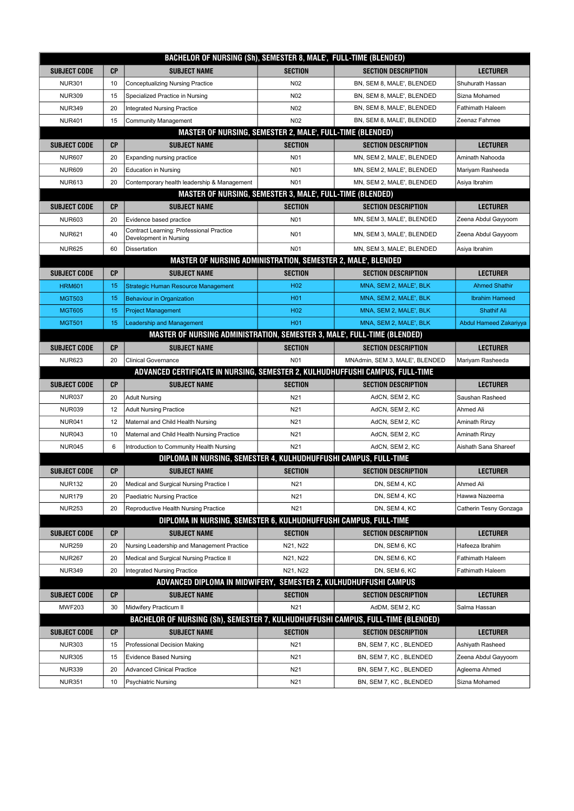| BACHELOR OF NURSING (Sh), SEMESTER 8, MALE', FULL-TIME (BLENDED)              |           |                                                                                  |                        |                                                  |                                      |  |
|-------------------------------------------------------------------------------|-----------|----------------------------------------------------------------------------------|------------------------|--------------------------------------------------|--------------------------------------|--|
| <b>SUBJECT CODE</b>                                                           | <b>CP</b> | <b>SUBJECT NAME</b>                                                              | <b>SECTION</b>         | <b>SECTION DESCRIPTION</b>                       | <b>LECTURER</b>                      |  |
| <b>NUR301</b>                                                                 | 10        | <b>Conceptualizing Nursing Practice</b>                                          | N <sub>02</sub>        | BN, SEM 8, MALE', BLENDED                        | Shuhurath Hassan                     |  |
| <b>NUR309</b>                                                                 | 15        | Specialized Practice in Nursing                                                  | N02                    | BN, SEM 8, MALE', BLENDED                        | Sizna Mohamed                        |  |
| <b>NUR349</b>                                                                 | 20        | Integrated Nursing Practice                                                      | N <sub>02</sub>        | BN, SEM 8, MALE', BLENDED                        | Fathimath Haleem                     |  |
| <b>NUR401</b>                                                                 | 15        | <b>Community Management</b>                                                      | N02                    | BN, SEM 8, MALE', BLENDED                        | Zeenaz Fahmee                        |  |
|                                                                               |           | <b>MASTER OF NURSING, SEMESTER 2, MALE', FULL-TIME (BLENDED)</b>                 |                        |                                                  |                                      |  |
| <b>SUBJECT CODE</b>                                                           | <b>CP</b> | <b>SUBJECT NAME</b>                                                              | <b>SECTION</b>         | <b>SECTION DESCRIPTION</b>                       | <b>LECTURER</b>                      |  |
| <b>NUR607</b>                                                                 | 20        | Expanding nursing practice                                                       | N <sub>01</sub>        | MN, SEM 2, MALE', BLENDED                        | Aminath Nahooda                      |  |
| <b>NUR609</b>                                                                 | 20        | <b>Education in Nursing</b>                                                      | N <sub>0</sub> 1       | MN, SEM 2, MALE', BLENDED                        | Mariyam Rasheeda                     |  |
| <b>NUR613</b>                                                                 | 20        | Contemporary health leadership & Management                                      | N01                    | MN, SEM 2, MALE', BLENDED                        | Asiya Ibrahim                        |  |
|                                                                               |           | MASTER OF NURSING, SEMESTER 3, MALE', FULL-TIME (BLENDED)                        |                        |                                                  |                                      |  |
| <b>SUBJECT CODE</b>                                                           | <b>CP</b> | <b>SUBJECT NAME</b>                                                              | <b>SECTION</b>         | <b>SECTION DESCRIPTION</b>                       | <b>LECTURER</b>                      |  |
| <b>NUR603</b>                                                                 | 20        | Evidence based practice                                                          | N <sub>0</sub> 1       | MN, SEM 3, MALE', BLENDED                        | Zeena Abdul Gayyoom                  |  |
| <b>NUR621</b>                                                                 | 40        | Contract Learning: Professional Practice<br>Development in Nursing               | N01                    | MN, SEM 3, MALE', BLENDED                        | Zeena Abdul Gayyoom                  |  |
| <b>NUR625</b>                                                                 | 60        | Dissertation                                                                     | N01                    | MN, SEM 3, MALE', BLENDED                        | Asiya Ibrahim                        |  |
|                                                                               |           | MASTER OF NURSING ADMINISTRATION, SEMESTER 2, MALE', BLENDED                     |                        |                                                  |                                      |  |
| <b>SUBJECT CODE</b>                                                           | <b>CP</b> | <b>SUBJECT NAME</b>                                                              | <b>SECTION</b>         | <b>SECTION DESCRIPTION</b>                       | <b>LECTURER</b>                      |  |
| <b>HRM601</b>                                                                 | 15        | <b>Strategic Human Resource Management</b>                                       | H <sub>02</sub>        | MNA, SEM 2, MALE', BLK                           | <b>Ahmed Shathir</b>                 |  |
| <b>MGT503</b>                                                                 | 15        | <b>Behaviour in Organization</b>                                                 | H <sub>01</sub>        | MNA, SEM 2, MALE', BLK                           | <b>Ibrahim Hameed</b>                |  |
| <b>MGT605</b>                                                                 | 15        | <b>Project Management</b>                                                        | H <sub>02</sub>        | MNA, SEM 2, MALE', BLK                           | <b>Shathif Ali</b>                   |  |
| <b>MGT501</b>                                                                 | 15        | <b>Leadership and Management</b>                                                 | H <sub>01</sub>        | MNA, SEM 2, MALE', BLK                           | <b>Abdul Hameed Zakariyya</b>        |  |
|                                                                               |           | MASTER OF NURSING ADMINISTRATION, SEMESTER 3, MALE', FULL-TIME (BLENDED)         |                        |                                                  |                                      |  |
| <b>SUBJECT CODE</b>                                                           | <b>CP</b> | <b>SUBJECT NAME</b>                                                              | <b>SECTION</b>         | <b>SECTION DESCRIPTION</b>                       | <b>LECTURER</b>                      |  |
| <b>NUR623</b>                                                                 | 20        | <b>Clinical Governance</b>                                                       | N01                    | MNAdmin, SEM 3, MALE', BLENDED                   | Mariyam Rasheeda                     |  |
| ADVANCED CERTIFICATE IN NURSING, SEMESTER 2, KULHUDHUFFUSHI CAMPUS, FULL-TIME |           |                                                                                  |                        |                                                  |                                      |  |
|                                                                               |           |                                                                                  |                        |                                                  |                                      |  |
| <b>SUBJECT CODE</b>                                                           | <b>CP</b> | <b>SUBJECT NAME</b>                                                              | <b>SECTION</b>         | <b>SECTION DESCRIPTION</b>                       | <b>LECTURER</b>                      |  |
| <b>NUR037</b>                                                                 | 20        | <b>Adult Nursing</b>                                                             | N21                    | AdCN, SEM 2, KC                                  | Saushan Rasheed                      |  |
| <b>NUR039</b>                                                                 | 12        | <b>Adult Nursing Practice</b>                                                    | N21                    | AdCN, SEM 2, KC                                  | Ahmed Ali                            |  |
| <b>NUR041</b>                                                                 | 12        | Maternal and Child Health Nursing                                                | N21                    | AdCN, SEM 2, KC                                  | Aminath Rinzy                        |  |
| <b>NUR043</b>                                                                 | 10        | Maternal and Child Health Nursing Practice                                       | N21                    | AdCN, SEM 2, KC                                  | Aminath Rinzy                        |  |
| <b>NUR045</b>                                                                 | 6         | Introduction to Community Health Nursing                                         | N21                    | AdCN, SEM 2, KC                                  | Aishath Sana Shareef                 |  |
|                                                                               |           | DIPLOMA IN NURSING, SEMESTER 4, KULHUDHUFFUSHI CAMPUS, FULL-TIME                 |                        |                                                  |                                      |  |
| <b>SUBJECT CODE</b>                                                           | CР        | <b>SUBJECT NAME</b>                                                              | <b>SECTION</b>         | <b>SECTION DESCRIPTION</b>                       | <b>LECTURER</b>                      |  |
| <b>NUR132</b>                                                                 | 20        | Medical and Surgical Nursing Practice I                                          | N21                    | DN, SEM 4, KC                                    | Ahmed Ali                            |  |
| <b>NUR179</b>                                                                 | 20        | <b>Paediatric Nursing Practice</b>                                               | N <sub>21</sub>        | DN, SEM 4, KC                                    | Hawwa Nazeema                        |  |
| <b>NUR253</b>                                                                 | 20        | Reproductive Health Nursing Practice                                             | N21                    | DN, SEM 4, KC                                    | Catherin Tesny Gonzaga               |  |
|                                                                               |           | DIPLOMA IN NURSING, SEMESTER 6, KULHUDHUFFUSHI CAMPUS, FULL-TIME                 |                        |                                                  |                                      |  |
| <b>SUBJECT CODE</b>                                                           | <b>CP</b> | <b>SUBJECT NAME</b>                                                              | <b>SECTION</b>         | <b>SECTION DESCRIPTION</b>                       | <b>LECTURER</b>                      |  |
| <b>NUR259</b>                                                                 | 20        | Nursing Leadership and Management Practice                                       | N21, N22               | DN, SEM 6, KC                                    | Hafeeza Ibrahim                      |  |
| <b>NUR267</b>                                                                 | 20        | Medical and Surgical Nursing Practice II                                         | N21, N22               | DN, SEM 6, KC                                    | <b>Fathimath Haleem</b>              |  |
| <b>NUR349</b>                                                                 | 20        | Integrated Nursing Practice                                                      | N21, N22               | DN, SEM 6, KC                                    | Fathimath Haleem                     |  |
|                                                                               |           | ADVANCED DIPLOMA IN MIDWIFERY, SEMESTER 2, KULHUDHUFFUSHI CAMPUS                 |                        |                                                  |                                      |  |
| <b>SUBJECT CODE</b>                                                           | <b>CP</b> | <b>SUBJECT NAME</b>                                                              | <b>SECTION</b>         | <b>SECTION DESCRIPTION</b>                       | <b>LECTURER</b>                      |  |
| <b>MWF203</b>                                                                 | 30        | Midwifery Practicum II                                                           | N21                    | AdDM, SEM 2, KC                                  | Salma Hassan                         |  |
|                                                                               |           | BACHELOR OF NURSING (Sh), SEMESTER 7, KULHUDHUFFUSHI CAMPUS, FULL-TIME (BLENDED) |                        |                                                  |                                      |  |
| <b>SUBJECT CODE</b>                                                           | СP        | <b>SUBJECT NAME</b>                                                              | <b>SECTION</b>         | <b>SECTION DESCRIPTION</b>                       | <b>LECTURER</b>                      |  |
| <b>NUR303</b><br><b>NUR305</b>                                                | 15        | Professional Decision Making                                                     | N21                    | BN, SEM 7, KC, BLENDED                           | Ashiyath Rasheed                     |  |
| <b>NUR339</b>                                                                 | 15<br>20  | <b>Evidence Based Nursing</b><br><b>Advanced Clinical Practice</b>               | N21<br>N <sub>21</sub> | BN, SEM 7, KC, BLENDED<br>BN, SEM 7, KC, BLENDED | Zeena Abdul Gayyoom<br>Agleema Ahmed |  |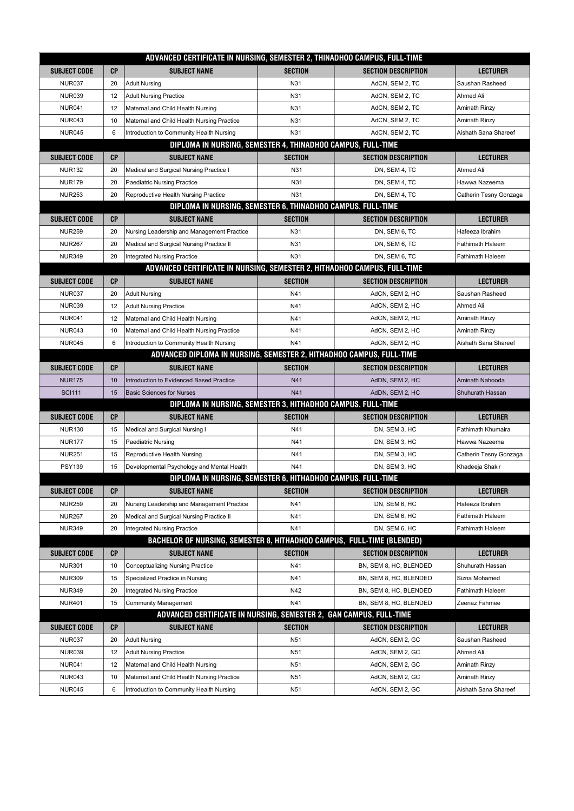| ADVANCED CERTIFICATE IN NURSING, SEMESTER 2, THINADHOO CAMPUS, FULL-TIME |                                                             |                                                                          |                 |                            |                         |  |  |  |
|--------------------------------------------------------------------------|-------------------------------------------------------------|--------------------------------------------------------------------------|-----------------|----------------------------|-------------------------|--|--|--|
| <b>SUBJECT CODE</b>                                                      | СP                                                          | <b>SUBJECT NAME</b>                                                      | <b>SECTION</b>  | <b>SECTION DESCRIPTION</b> | LECTURER                |  |  |  |
| <b>NUR037</b>                                                            | 20                                                          | <b>Adult Nursing</b>                                                     | N31             | AdCN, SEM 2, TC            | Saushan Rasheed         |  |  |  |
| <b>NUR039</b>                                                            | 12                                                          | <b>Adult Nursing Practice</b>                                            | N31             | AdCN, SEM 2, TC            | Ahmed Ali               |  |  |  |
| <b>NUR041</b>                                                            | 12                                                          | Maternal and Child Health Nursing                                        | N31             | AdCN, SEM 2, TC            | Aminath Rinzy           |  |  |  |
| <b>NUR043</b>                                                            | 10                                                          | Maternal and Child Health Nursing Practice                               | N31             | AdCN, SEM 2, TC            | Aminath Rinzy           |  |  |  |
| <b>NUR045</b>                                                            | 6                                                           | Introduction to Community Health Nursing                                 | N31             | AdCN, SEM 2, TC            | Aishath Sana Shareef    |  |  |  |
|                                                                          |                                                             | DIPLOMA IN NURSING, SEMESTER 4, THINADHOO CAMPUS, FULL-TIME              |                 |                            |                         |  |  |  |
| <b>SUBJECT CODE</b>                                                      | <b>CP</b>                                                   | <b>SUBJECT NAME</b>                                                      | <b>SECTION</b>  | <b>SECTION DESCRIPTION</b> | LECTURER                |  |  |  |
| <b>NUR132</b>                                                            | 20                                                          | Medical and Surgical Nursing Practice I                                  | N31             | DN, SEM 4, TC              | Ahmed Ali               |  |  |  |
| <b>NUR179</b>                                                            | 20                                                          | <b>Paediatric Nursing Practice</b>                                       | N31             | DN, SEM 4, TC              | Hawwa Nazeema           |  |  |  |
| <b>NUR253</b>                                                            | 20                                                          | Reproductive Health Nursing Practice                                     | N31             | DN, SEM 4, TC              | Catherin Tesny Gonzaga  |  |  |  |
|                                                                          |                                                             | DIPLOMA IN NURSING, SEMESTER 6, THINADHOO CAMPUS, FULL-TIME              |                 |                            |                         |  |  |  |
| <b>SUBJECT CODE</b>                                                      | <b>CP</b>                                                   | <b>SUBJECT NAME</b>                                                      | <b>SECTION</b>  | <b>SECTION DESCRIPTION</b> | <b>LECTURER</b>         |  |  |  |
| <b>NUR259</b>                                                            | 20                                                          | Nursing Leadership and Management Practice                               | N31             | DN, SEM 6, TC              | Hafeeza Ibrahim         |  |  |  |
| <b>NUR267</b>                                                            | 20                                                          | Medical and Surgical Nursing Practice II                                 | N31             | DN, SEM 6, TC              | <b>Fathimath Haleem</b> |  |  |  |
| <b>NUR349</b>                                                            | 20                                                          | Integrated Nursing Practice                                              | N31             | DN, SEM 6, TC              | <b>Fathimath Haleem</b> |  |  |  |
|                                                                          |                                                             | ADVANCED CERTIFICATE IN NURSING, SEMESTER 2, HITHADHOO CAMPUS, FULL-TIME |                 |                            |                         |  |  |  |
| <b>SUBJECT CODE</b>                                                      | <b>CP</b>                                                   | <b>SUBJECT NAME</b>                                                      | <b>SECTION</b>  | <b>SECTION DESCRIPTION</b> | <b>LECTURER</b>         |  |  |  |
| <b>NUR037</b>                                                            | 20                                                          | <b>Adult Nursing</b>                                                     | N41             | AdCN, SEM 2, HC            | Saushan Rasheed         |  |  |  |
| <b>NUR039</b>                                                            | 12                                                          | <b>Adult Nursing Practice</b>                                            | N41             | AdCN, SEM 2, HC            | Ahmed Ali               |  |  |  |
| <b>NUR041</b>                                                            | 12                                                          | Maternal and Child Health Nursing                                        | N41             | AdCN, SEM 2, HC            | <b>Aminath Rinzy</b>    |  |  |  |
| <b>NUR043</b>                                                            | 10                                                          | Maternal and Child Health Nursing Practice                               | N41             | AdCN, SEM 2, HC            | Aminath Rinzy           |  |  |  |
| <b>NUR045</b>                                                            | 6                                                           | Introduction to Community Health Nursing                                 | N41             | AdCN, SEM 2, HC            | Aishath Sana Shareef    |  |  |  |
|                                                                          |                                                             | ADVANCED DIPLOMA IN NURSING, SEMESTER 2, HITHADHOO CAMPUS, FULL-TIME     |                 |                            |                         |  |  |  |
| <b>SUBJECT CODE</b>                                                      | CP                                                          | <b>SUBJECT NAME</b>                                                      | <b>SECTION</b>  | <b>SECTION DESCRIPTION</b> | <b>LECTURER</b>         |  |  |  |
| <b>NUR175</b>                                                            | 10                                                          | Introduction to Evidenced Based Practice                                 | N41             | AdDN, SEM 2, HC            | Aminath Nahooda         |  |  |  |
| <b>SCI111</b>                                                            | 15                                                          | <b>Basic Sciences for Nurses</b>                                         | N41             | AdDN, SEM 2, HC            | Shuhurath Hassan        |  |  |  |
|                                                                          |                                                             | DIPLOMA IN NURSING, SEMESTER 3, HITHADHOO CAMPUS, FULL-TIME              |                 |                            |                         |  |  |  |
| <b>SUBJECT CODE</b>                                                      | <b>CP</b>                                                   | <b>SUBJECT NAME</b>                                                      | <b>SECTION</b>  | <b>SECTION DESCRIPTION</b> | <b>LECTURER</b>         |  |  |  |
| <b>NUR130</b>                                                            | 15                                                          | Medical and Surgical Nursing I                                           | N41             | DN, SEM 3, HC              | Fathimath Khumaira      |  |  |  |
| <b>NUR177</b>                                                            | 15                                                          | Paediatric Nursing                                                       | N41             | DN, SEM 3, HC              | Hawwa Nazeema           |  |  |  |
| <b>NUR251</b>                                                            | 15                                                          | Reproductive Health Nursing                                              | N41             | DN, SEM 3, HC              | Catherin Tesny Gonzaga  |  |  |  |
| <b>PSY139</b>                                                            | 15                                                          | Developmental Psychology and Mental Health                               | N41             | DN, SEM 3, HC              | Khadeeja Shakir         |  |  |  |
|                                                                          | DIPLOMA IN NURSING, SEMESTER 6, HITHADHOO CAMPUS, FULL-TIME |                                                                          |                 |                            |                         |  |  |  |
| <b>SUBJECT CODE</b>                                                      | СP                                                          | <b>SUBJECT NAME</b>                                                      | <b>SECTION</b>  | <b>SECTION DESCRIPTION</b> | <b>LECTURER</b>         |  |  |  |
| <b>NUR259</b>                                                            | 20                                                          | Nursing Leadership and Management Practice                               | N41             | DN, SEM 6, HC              | Hafeeza Ibrahim         |  |  |  |
| <b>NUR267</b>                                                            | 20                                                          | Medical and Surgical Nursing Practice II                                 | N41             | DN, SEM 6, HC              | Fathimath Haleem        |  |  |  |
| <b>NUR349</b>                                                            | 20                                                          | Integrated Nursing Practice                                              | N41             | DN, SEM 6, HC              | <b>Fathimath Haleem</b> |  |  |  |
| BACHELOR OF NURSING, SEMESTER 8, HITHADHOO CAMPUS, FULL-TIME (BLENDED)   |                                                             |                                                                          |                 |                            |                         |  |  |  |
| <b>SUBJECT CODE</b>                                                      | CP                                                          | <b>SUBJECT NAME</b>                                                      | <b>SECTION</b>  | <b>SECTION DESCRIPTION</b> | <b>LECTURER</b>         |  |  |  |
| <b>NUR301</b>                                                            | 10                                                          | <b>Conceptualizing Nursing Practice</b>                                  | N41             | BN, SEM 8, HC, BLENDED     | Shuhurath Hassan        |  |  |  |
| <b>NUR309</b>                                                            | 15                                                          | Specialized Practice in Nursing                                          | N41             | BN, SEM 8, HC, BLENDED     | Sizna Mohamed           |  |  |  |
| <b>NUR349</b>                                                            | 20                                                          | Integrated Nursing Practice                                              | N42             | BN, SEM 8, HC, BLENDED     | Fathimath Haleem        |  |  |  |
| <b>NUR401</b>                                                            | 15                                                          | <b>Community Management</b>                                              | N41             | BN, SEM 8, HC, BLENDED     | Zeenaz Fahmee           |  |  |  |
|                                                                          |                                                             | ADVANCED CERTIFICATE IN NURSING, SEMESTER 2, GAN CAMPUS, FULL-TIME       |                 |                            |                         |  |  |  |
| <b>SUBJECT CODE</b>                                                      | <b>CP</b>                                                   | <b>SUBJECT NAME</b>                                                      | <b>SECTION</b>  | <b>SECTION DESCRIPTION</b> | <b>LECTURER</b>         |  |  |  |
| <b>NUR037</b>                                                            | 20                                                          | <b>Adult Nursing</b>                                                     | N <sub>51</sub> | AdCN, SEM 2, GC            | Saushan Rasheed         |  |  |  |
| <b>NUR039</b>                                                            | 12                                                          | <b>Adult Nursing Practice</b>                                            | N <sub>51</sub> | AdCN, SEM 2, GC            | Ahmed Ali               |  |  |  |
| <b>NUR041</b>                                                            | 12                                                          | Maternal and Child Health Nursing                                        | N51             | AdCN, SEM 2, GC            | Aminath Rinzy           |  |  |  |
| <b>NUR043</b>                                                            | 10                                                          | Maternal and Child Health Nursing Practice                               | N51             | AdCN, SEM 2, GC            | Aminath Rinzy           |  |  |  |
| <b>NUR045</b>                                                            | 6                                                           | Introduction to Community Health Nursing                                 | N51             | AdCN, SEM 2, GC            | Aishath Sana Shareef    |  |  |  |